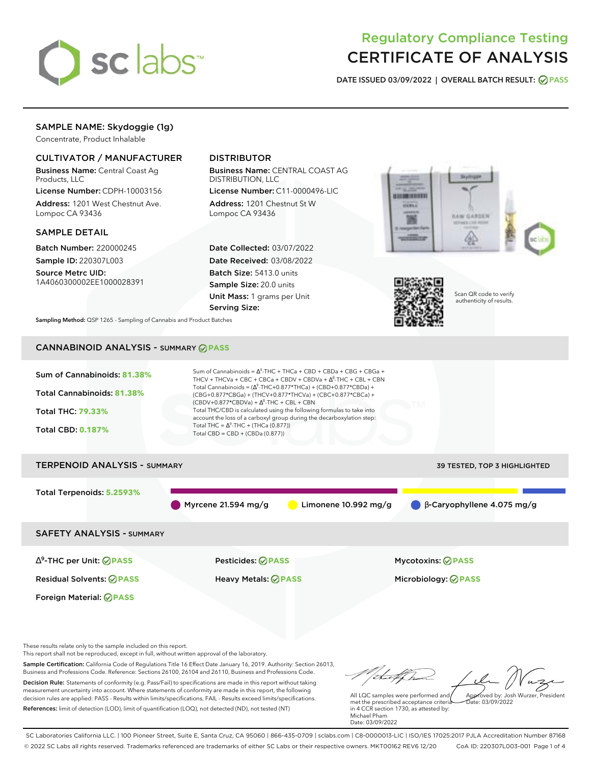

# Regulatory Compliance Testing CERTIFICATE OF ANALYSIS

**DATE ISSUED 03/09/2022 | OVERALL BATCH RESULT: PASS**

# SAMPLE NAME: Skydoggie (1g)

Concentrate, Product Inhalable

# CULTIVATOR / MANUFACTURER

Business Name: Central Coast Ag Products, LLC

License Number: CDPH-10003156 Address: 1201 West Chestnut Ave. Lompoc CA 93436

### SAMPLE DETAIL

Batch Number: 220000245 Sample ID: 220307L003

Source Metrc UID: 1A4060300002EE1000028391

# DISTRIBUTOR

Business Name: CENTRAL COAST AG DISTRIBUTION, LLC

License Number: C11-0000496-LIC Address: 1201 Chestnut St W Lompoc CA 93436

Date Collected: 03/07/2022 Date Received: 03/08/2022 Batch Size: 5413.0 units Sample Size: 20.0 units Unit Mass: 1 grams per Unit Serving Size:





Scan QR code to verify authenticity of results.

**Sampling Method:** QSP 1265 - Sampling of Cannabis and Product Batches

# CANNABINOID ANALYSIS - SUMMARY **PASS**



These results relate only to the sample included on this report.

This report shall not be reproduced, except in full, without written approval of the laboratory.

Sample Certification: California Code of Regulations Title 16 Effect Date January 16, 2019. Authority: Section 26013, Business and Professions Code. Reference: Sections 26100, 26104 and 26110, Business and Professions Code. Decision Rule: Statements of conformity (e.g. Pass/Fail) to specifications are made in this report without taking measurement uncertainty into account. Where statements of conformity are made in this report, the following decision rules are applied: PASS - Results within limits/specifications, FAIL - Results exceed limits/specifications.

References: limit of detection (LOD), limit of quantification (LOQ), not detected (ND), not tested (NT)

tu of h Approved by: Josh Wurzer, President

 $\frac{1}{2}$ ate: 03/09/2022

All LQC samples were performed and met the prescribed acceptance criteria in 4 CCR section 1730, as attested by: Michael Pham Date: 03/09/2022

SC Laboratories California LLC. | 100 Pioneer Street, Suite E, Santa Cruz, CA 95060 | 866-435-0709 | sclabs.com | C8-0000013-LIC | ISO/IES 17025:2017 PJLA Accreditation Number 87168 © 2022 SC Labs all rights reserved. Trademarks referenced are trademarks of either SC Labs or their respective owners. MKT00162 REV6 12/20 CoA ID: 220307L003-001 Page 1 of 4